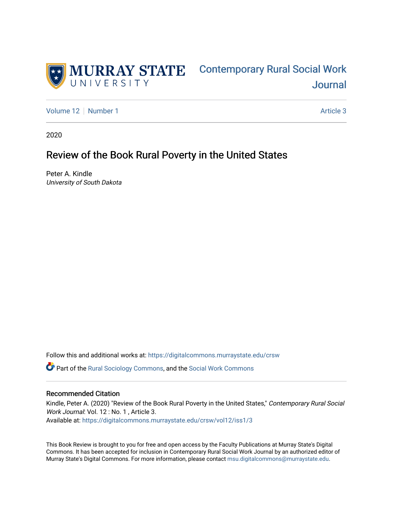

# [Contemporary Rural Social Work](https://digitalcommons.murraystate.edu/crsw)  [Journal](https://digitalcommons.murraystate.edu/crsw)

[Volume 12](https://digitalcommons.murraystate.edu/crsw/vol12) [Number 1](https://digitalcommons.murraystate.edu/crsw/vol12/iss1) Article 3

2020

# Review of the Book Rural Poverty in the United States

Peter A. Kindle University of South Dakota

Follow this and additional works at: [https://digitalcommons.murraystate.edu/crsw](https://digitalcommons.murraystate.edu/crsw?utm_source=digitalcommons.murraystate.edu%2Fcrsw%2Fvol12%2Fiss1%2F3&utm_medium=PDF&utm_campaign=PDFCoverPages) 

Part of the [Rural Sociology Commons,](http://network.bepress.com/hgg/discipline/428?utm_source=digitalcommons.murraystate.edu%2Fcrsw%2Fvol12%2Fiss1%2F3&utm_medium=PDF&utm_campaign=PDFCoverPages) and the [Social Work Commons](http://network.bepress.com/hgg/discipline/713?utm_source=digitalcommons.murraystate.edu%2Fcrsw%2Fvol12%2Fiss1%2F3&utm_medium=PDF&utm_campaign=PDFCoverPages) 

#### Recommended Citation

Kindle, Peter A. (2020) "Review of the Book Rural Poverty in the United States," Contemporary Rural Social Work Journal: Vol. 12 : No. 1, Article 3. Available at: [https://digitalcommons.murraystate.edu/crsw/vol12/iss1/3](https://digitalcommons.murraystate.edu/crsw/vol12/iss1/3?utm_source=digitalcommons.murraystate.edu%2Fcrsw%2Fvol12%2Fiss1%2F3&utm_medium=PDF&utm_campaign=PDFCoverPages) 

This Book Review is brought to you for free and open access by the Faculty Publications at Murray State's Digital Commons. It has been accepted for inclusion in Contemporary Rural Social Work Journal by an authorized editor of Murray State's Digital Commons. For more information, please contact [msu.digitalcommons@murraystate.edu](mailto:msu.digitalcommons@murraystate.edu).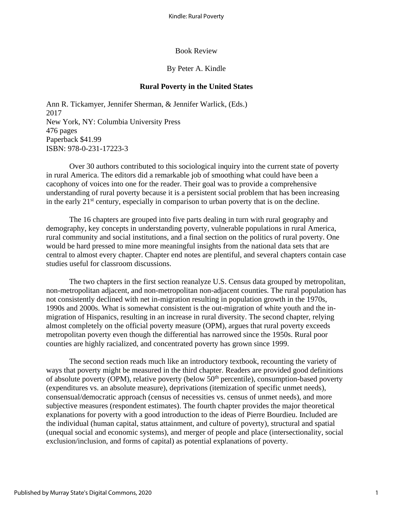#### Book Review

## By Peter A. Kindle

# **Rural Poverty in the United States**

Ann R. Tickamyer, Jennifer Sherman, & Jennifer Warlick, (Eds.) 2017 New York, NY: Columbia University Press 476 pages Paperback \$41.99 ISBN: 978-0-231-17223-3

Over 30 authors contributed to this sociological inquiry into the current state of poverty in rural America. The editors did a remarkable job of smoothing what could have been a cacophony of voices into one for the reader. Their goal was to provide a comprehensive understanding of rural poverty because it is a persistent social problem that has been increasing in the early  $21<sup>st</sup>$  century, especially in comparison to urban poverty that is on the decline.

The 16 chapters are grouped into five parts dealing in turn with rural geography and demography, key concepts in understanding poverty, vulnerable populations in rural America, rural community and social institutions, and a final section on the politics of rural poverty. One would be hard pressed to mine more meaningful insights from the national data sets that are central to almost every chapter. Chapter end notes are plentiful, and several chapters contain case studies useful for classroom discussions.

The two chapters in the first section reanalyze U.S. Census data grouped by metropolitan, non-metropolitan adjacent, and non-metropolitan non-adjacent counties. The rural population has not consistently declined with net in-migration resulting in population growth in the 1970s, 1990s and 2000s. What is somewhat consistent is the out-migration of white youth and the inmigration of Hispanics, resulting in an increase in rural diversity. The second chapter, relying almost completely on the official poverty measure (OPM), argues that rural poverty exceeds metropolitan poverty even though the differential has narrowed since the 1950s. Rural poor counties are highly racialized, and concentrated poverty has grown since 1999.

The second section reads much like an introductory textbook, recounting the variety of ways that poverty might be measured in the third chapter. Readers are provided good definitions of absolute poverty (OPM), relative poverty (below  $50<sup>th</sup>$  percentile), consumption-based poverty (expenditures vs. an absolute measure), deprivations (itemization of specific unmet needs), consensual/democratic approach (census of necessities vs. census of unmet needs), and more subjective measures (respondent estimates). The fourth chapter provides the major theoretical explanations for poverty with a good introduction to the ideas of Pierre Bourdieu. Included are the individual (human capital, status attainment, and culture of poverty), structural and spatial (unequal social and economic systems), and merger of people and place (intersectionality, social exclusion/inclusion, and forms of capital) as potential explanations of poverty.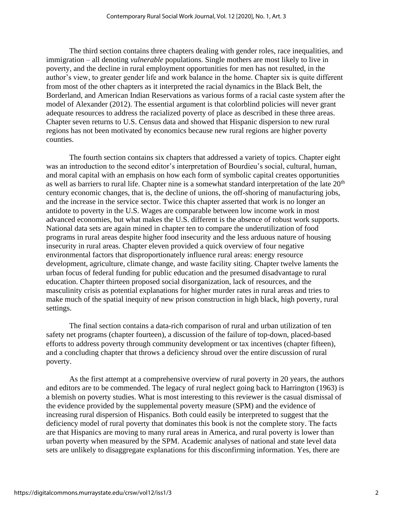The third section contains three chapters dealing with gender roles, race inequalities, and immigration – all denoting *vulnerable* populations. Single mothers are most likely to live in poverty, and the decline in rural employment opportunities for men has not resulted, in the author's view, to greater gender life and work balance in the home. Chapter six is quite different from most of the other chapters as it interpreted the racial dynamics in the Black Belt, the Borderland, and American Indian Reservations as various forms of a racial caste system after the model of Alexander (2012). The essential argument is that colorblind policies will never grant adequate resources to address the racialized poverty of place as described in these three areas. Chapter seven returns to U.S. Census data and showed that Hispanic dispersion to new rural regions has not been motivated by economics because new rural regions are higher poverty counties.

The fourth section contains six chapters that addressed a variety of topics. Chapter eight was an introduction to the second editor's interpretation of Bourdieu's social, cultural, human, and moral capital with an emphasis on how each form of symbolic capital creates opportunities as well as barriers to rural life. Chapter nine is a somewhat standard interpretation of the late 20<sup>th</sup> century economic changes, that is, the decline of unions, the off-shoring of manufacturing jobs, and the increase in the service sector. Twice this chapter asserted that work is no longer an antidote to poverty in the U.S. Wages are comparable between low income work in most advanced economies, but what makes the U.S. different is the absence of robust work supports. National data sets are again mined in chapter ten to compare the underutilization of food programs in rural areas despite higher food insecurity and the less arduous nature of housing insecurity in rural areas. Chapter eleven provided a quick overview of four negative environmental factors that disproportionately influence rural areas: energy resource development, agriculture, climate change, and waste facility siting. Chapter twelve laments the urban focus of federal funding for public education and the presumed disadvantage to rural education. Chapter thirteen proposed social disorganization, lack of resources, and the masculinity crisis as potential explanations for higher murder rates in rural areas and tries to make much of the spatial inequity of new prison construction in high black, high poverty, rural settings.

The final section contains a data-rich comparison of rural and urban utilization of ten safety net programs (chapter fourteen), a discussion of the failure of top-down, placed-based efforts to address poverty through community development or tax incentives (chapter fifteen), and a concluding chapter that throws a deficiency shroud over the entire discussion of rural poverty.

As the first attempt at a comprehensive overview of rural poverty in 20 years, the authors and editors are to be commended. The legacy of rural neglect going back to Harrington (1963) is a blemish on poverty studies. What is most interesting to this reviewer is the casual dismissal of the evidence provided by the supplemental poverty measure (SPM) and the evidence of increasing rural dispersion of Hispanics. Both could easily be interpreted to suggest that the deficiency model of rural poverty that dominates this book is not the complete story. The facts are that Hispanics are moving to many rural areas in America, and rural poverty is lower than urban poverty when measured by the SPM. Academic analyses of national and state level data sets are unlikely to disaggregate explanations for this disconfirming information. Yes, there are